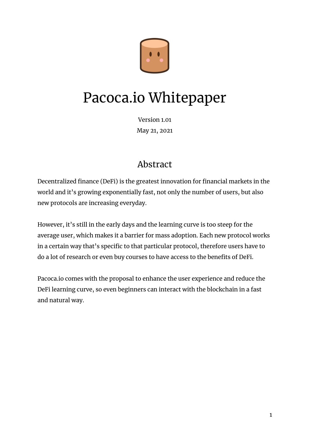

# Pacoca.io Whitepaper

Version 1.01 May 21, 2021

# Abstract

<span id="page-0-0"></span>Decentralized finance (DeFi) is the greatest innovation for financial markets in the world and it's growing exponentially fast, not only the number of users, but also new protocols are increasing everyday.

However, it's still in the early days and the learning curve is too steep for the average user, which makes it a barrier for mass adoption. Each new protocol works in a certain way that's specific to that particular protocol, therefore users have to do a lot of research or even buy courses to have access to the benefits of DeFi.

Pacoca.io comes with the proposal to enhance the user experience and reduce the DeFi learning curve, so even beginners can interact with the blockchain in a fast and natural way.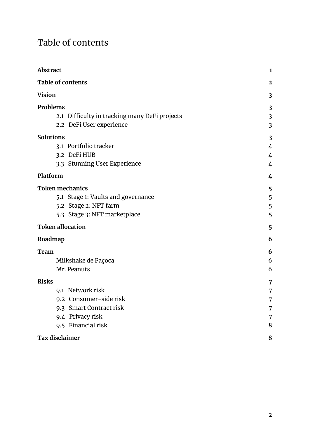# <span id="page-1-0"></span>Table of contents

| <b>Abstract</b>                               | $\mathbf{1}$            |
|-----------------------------------------------|-------------------------|
| <b>Table of contents</b>                      | 2                       |
| <b>Vision</b>                                 | 3                       |
| Problems                                      | 3                       |
| 2.1 Difficulty in tracking many DeFi projects | $\overline{\mathbf{3}}$ |
| 2.2 DeFi User experience                      | $\overline{\mathbf{3}}$ |
| <b>Solutions</b>                              | 3                       |
| 3.1 Portfolio tracker                         | 4                       |
| 3.2 DeFi HUB                                  | 4                       |
| 3.3 Stunning User Experience                  | 4                       |
| Platform                                      | 4                       |
| <b>Token mechanics</b>                        | 5                       |
| 5.1 Stage 1: Vaults and governance            | 5                       |
| 5.2 Stage 2: NFT farm                         | 5                       |
| 5.3 Stage 3: NFT marketplace                  | 5                       |
| <b>Token allocation</b>                       | 5                       |
| Roadmap                                       | 6                       |
| <b>Team</b>                                   | 6                       |
| Milkshake de Paçoca                           | 6                       |
| Mr. Peanuts                                   | 6                       |
| <b>Risks</b>                                  | 7                       |
| 9.1 Network risk                              | 7                       |
| 9.2 Consumer-side risk                        | 7                       |
| 9.3 Smart Contract risk                       | 7                       |
| 9.4 Privacy risk                              | 7                       |
| 9.5 Financial risk                            | 8                       |
| <b>Tax disclaimer</b>                         | 8                       |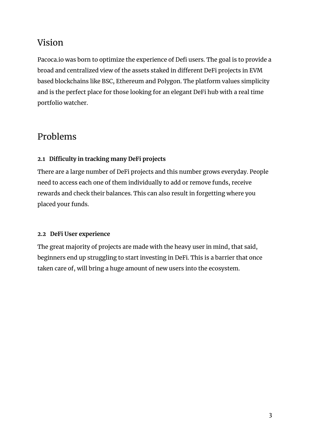# <span id="page-2-0"></span>Vision

Pacoca.io was born to optimize the experience of Defi users. The goal is to provide a broad and centralized view of the assets staked in different DeFi projects in EVM based blockchains like BSC, Ethereum and Polygon. The platform values simplicity and is the perfect place for those looking for an elegant DeFi hub with a real time portfolio watcher.

# <span id="page-2-1"></span>Problems

#### <span id="page-2-2"></span>**2.1 Difficulty in tracking many DeFi projects**

There are a large number of DeFi projects and this number grows everyday. People need to access each one of them individually to add or remove funds, receive rewards and check their balances. This can also result in forgetting where you placed your funds.

#### <span id="page-2-3"></span>**2.2 DeFi User experience**

The great majority of projects are made with the heavy user in mind, that said, beginners end up struggling to start investing in DeFi. This is a barrier that once taken care of, will bring a huge amount of new users into the ecosystem.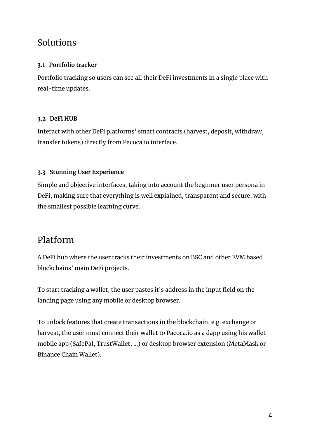## <span id="page-3-0"></span>Solutions

#### <span id="page-3-1"></span>**3.1 Portfolio tracker**

Portfolio tracking so users can see all their DeFi investments in a single place with real-time updates.

#### <span id="page-3-2"></span>**3.2 DeFi HUB**

Interact with other DeFi platforms' smart contracts (harvest, deposit, withdraw, transfer tokens) directly from Pacoca.io interface.

#### <span id="page-3-3"></span>**3.3 Stunning User Experience**

Simple and objective interfaces, taking into account the beginner user persona in DeFi, making sure that everything is well explained, transparent and secure, with the smallest possible learning curve.

# <span id="page-3-4"></span>Platform

A DeFi hub where the user tracks their investments on BSC and other EVM based blockchains' main DeFi projects.

To start tracking a wallet, the user pastes it's address in the input field on the landing page using any mobile or desktop browser.

To unlock features that create transactions in the blockchain, e.g. exchange or harvest, the user must connect their wallet to Pacoca.io as a dapp using his wallet mobile app (SafePal, TrustWallet, …) or desktop browser extension (MetaMask or Binance Chain Wallet).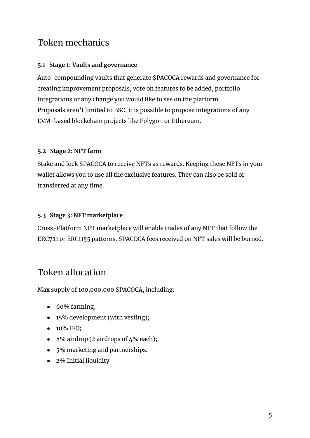# <span id="page-4-0"></span>Token mechanics

#### <span id="page-4-1"></span>**5.1 Stage 1: Vaults and governance**

Auto-compounding vaults that generate \$PACOCA rewards and governance for creating improvement proposals, vote on features to be added, portfolio integrations or any change you would like to see on the platform. Proposals aren't limited to BSC, it is possible to propose integrations of any EVM-based blockchain projects like Polygon or Ethereum.

#### <span id="page-4-2"></span>**5.2 Stage 2: NFT farm**

Stake and lock \$PACOCA to receive NFTs as rewards. Keeping these NFTs in your wallet allows you to use all the exclusive features. They can also be sold or transferred at any time.

#### <span id="page-4-3"></span>**5.3 Stage 3: NFT marketplace**

Cross-Platform NFT marketplace will enable trades of any NFT that follow the ERC721 or ERC1155 patterns. \$PACOCA fees received on NFT sales will be burned.

# <span id="page-4-4"></span>Token allocation

Max supply of 100,000,000 \$PACOCA, including:

- 60% farming;
- 15% development (with vesting);
- 10% IFO;
- $\bullet$  8% airdrop (2 airdrops of 4% each);
- 5% marketing and partnerships.
- 2% Initial liquidity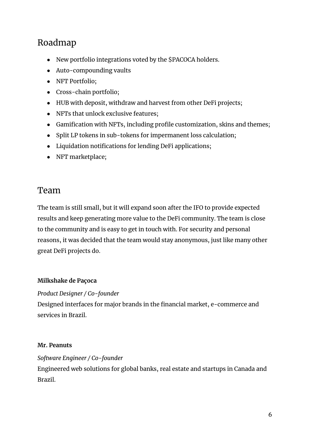# <span id="page-5-0"></span>Roadmap

- New portfolio integrations voted by the \$PACOCA holders.
- Auto-compounding vaults
- NFT Portfolio;
- Cross-chain portfolio;
- HUB with deposit, withdraw and harvest from other DeFi projects;
- NFTs that unlock exclusive features;
- Gamification with NFTs, including profile customization, skins and themes;
- Split LP tokens in sub-tokens for impermanent loss calculation;
- Liquidation notifications for lending DeFi applications;
- NFT marketplace;

### <span id="page-5-1"></span>Team

The team is still small, but it will expand soon after the IFO to provide expected results and keep generating more value to the DeFi community. The team is close to the community and is easy to get in touch with. For security and personal reasons, it was decided that the team would stay anonymous, just like many other great DeFi projects do.

#### <span id="page-5-2"></span>**Milkshake de Paçoca**

*Product Designer / Co-founder*

Designed interfaces for major brands in the financial market, e-commerce and services in Brazil.

#### <span id="page-5-3"></span>**Mr. Peanuts**

*Software Engineer / Co-founder* Engineered web solutions for global banks, real estate and startups in Canada and Brazil.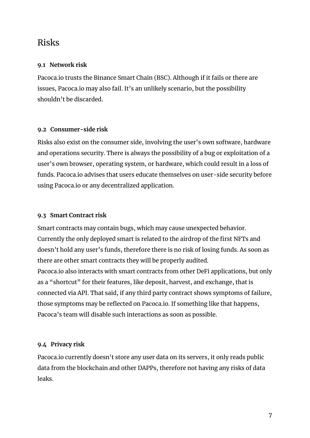### <span id="page-6-0"></span>Risks

#### <span id="page-6-1"></span>**9.1 Network risk**

Pacoca.io trusts the Binance Smart Chain (BSC). Although if it fails or there are issues, Pacoca.io may also fail. It's an unlikely scenario, but the possibility shouldn't be discarded.

#### <span id="page-6-2"></span>**9.2 Consumer-side risk**

Risks also exist on the consumer side, involving the user's own software, hardware and operations security. There is always the possibility of a bug or exploitation of a user's own browser, operating system, or hardware, which could result in a loss of funds. Pacoca.io advises that users educate themselves on user-side security before using Pacoca.io or any decentralized application.

#### <span id="page-6-3"></span>**9.3 Smart Contract risk**

Smart contracts may contain bugs, which may cause unexpected behavior. Currently the only deployed smart is related to the airdrop of the first NFTs and doesn't hold any user's funds, therefore there is no risk of losing funds. As soon as there are other smart contracts they will be properly audited. Pacoca.io also interacts with smart contracts from other DeFi applications, but only as a "shortcut" for their features, like deposit, harvest, and exchange, that is connected via API. That said, if any third party contract shows symptoms of failure, those symptoms may be reflected on Pacoca.io. If something like that happens, Pacoca's team will disable such interactions as soon as possible.

#### <span id="page-6-4"></span>**9.4 Privacy risk**

Pacoca.io currently doesn't store any user data on its servers, it only reads public data from the blockchain and other DAPPs, therefore not having any risks of data leaks.